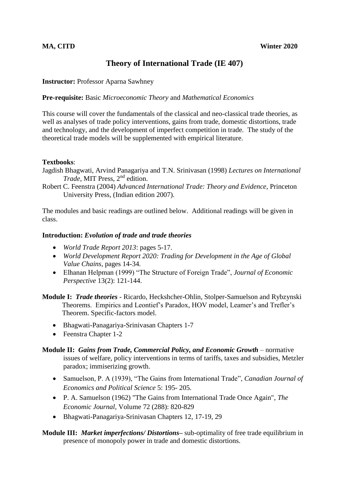# **Theory of International Trade (IE 407)**

**Instructor: Professor Aparna Sawhney** 

#### **Pre-requisite:** Basic *Microeconomic Theory* and *Mathematical Economics*

This course will cover the fundamentals of the classical and neo-classical trade theories, as well as analyses of trade policy interventions, gains from trade, domestic distortions, trade and technology, and the development of imperfect competition in trade. The study of the theoretical trade models will be supplemented with empirical literature.

### **Textbooks**:

Jagdish Bhagwati, Arvind Panagariya and T.N. Srinivasan (1998) *Lectures on International Trade*, MIT Press, 2nd edition.

Robert C. Feenstra (2004) *Advanced International Trade: Theory and Evidence*, Princeton University Press, (Indian edition 2007).

The modules and basic readings are outlined below. Additional readings will be given in class.

### **Introduction:** *Evolution of trade and trade theories*

- *World Trade Report 2013*: pages 5-17.
- *World Development Report 2020: Trading for Development in the Age of Global Value Chains*, pages 14-34.
- Elhanan Helpman (1999) "The Structure of Foreign Trade", *Journal of Economic Perspective* 13(2): 121-144.
- **Module I:** *Trade theories* Ricardo, Heckshcher-Ohlin, Stolper-Samuelson and Rybzynski Theorems. Empirics and Leontief's Paradox, HOV model, Leamer's and Trefler's Theorem. Specific-factors model.
	- Bhagwati-Panagariya-Srinivasan Chapters 1-7
	- Feenstra Chapter 1-2

## **Module II:** *Gains from Trade, Commercial Policy, and Economic Growth* – normative issues of welfare, policy interventions in terms of tariffs, taxes and subsidies, Metzler paradox; immiserizing growth.

- Samuelson, P. A (1939), "The Gains from International Trade", *Canadian Journal of Economics and Political Science* 5: 195- 205.
- P. A. Samuelson (1962) "The Gains from International Trade Once Again", *The Economic Journal*, Volume 72 (288): 820-829
- Bhagwati-Panagariya-Srinivasan Chapters 12, 17-19, 29

# **Module III:** *Market imperfections/ Distortions***–** sub-optimality of free trade equilibrium in presence of monopoly power in trade and domestic distortions.